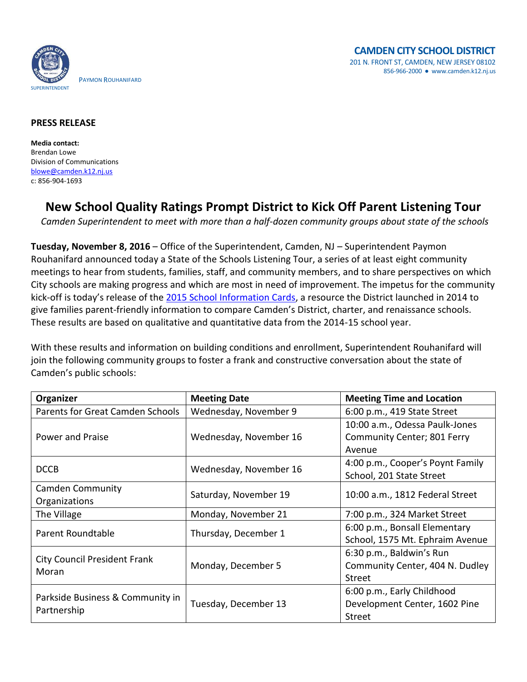

## **PRESS RELEASE**

**Media contact:** Brendan Lowe Division of Communications [blowe@camden.k12.nj.us](mailto:blowe@camden.k12.nj.us) c: 856-904-1693

## **New School Quality Ratings Prompt District to Kick Off Parent Listening Tour**

*Camden Superintendent to meet with more than a half-dozen community groups about state of the schools*

**Tuesday, November 8, 2016** – Office of the Superintendent, Camden, NJ – Superintendent Paymon Rouhanifard announced today a State of the Schools Listening Tour, a series of at least eight community meetings to hear from students, families, staff, and community members, and to share perspectives on which City schools are making progress and which are most in need of improvement. The impetus for the community kick-off is today's release of the [2015 School Information Cards,](http://infocards.camden.k12.nj.us/) a resource the District launched in 2014 to give families parent-friendly information to compare Camden's District, charter, and renaissance schools. These results are based on qualitative and quantitative data from the 2014-15 school year.

With these results and information on building conditions and enrollment, Superintendent Rouhanifard will join the following community groups to foster a frank and constructive conversation about the state of Camden's public schools:

| Organizer                                       | <b>Meeting Date</b>    | <b>Meeting Time and Location</b> |
|-------------------------------------------------|------------------------|----------------------------------|
| <b>Parents for Great Camden Schools</b>         | Wednesday, November 9  | 6:00 p.m., 419 State Street      |
| Power and Praise                                | Wednesday, November 16 | 10:00 a.m., Odessa Paulk-Jones   |
|                                                 |                        | Community Center; 801 Ferry      |
|                                                 |                        | Avenue                           |
| <b>DCCB</b>                                     | Wednesday, November 16 | 4:00 p.m., Cooper's Poynt Family |
|                                                 |                        | School, 201 State Street         |
| <b>Camden Community</b>                         | Saturday, November 19  | 10:00 a.m., 1812 Federal Street  |
| Organizations                                   |                        |                                  |
| The Village                                     | Monday, November 21    | 7:00 p.m., 324 Market Street     |
| Parent Roundtable                               | Thursday, December 1   | 6:00 p.m., Bonsall Elementary    |
|                                                 |                        | School, 1575 Mt. Ephraim Avenue  |
| <b>City Council President Frank</b><br>Moran    | Monday, December 5     | 6:30 p.m., Baldwin's Run         |
|                                                 |                        | Community Center, 404 N. Dudley  |
|                                                 |                        | Street                           |
| Parkside Business & Community in<br>Partnership | Tuesday, December 13   | 6:00 p.m., Early Childhood       |
|                                                 |                        | Development Center, 1602 Pine    |
|                                                 |                        | Street                           |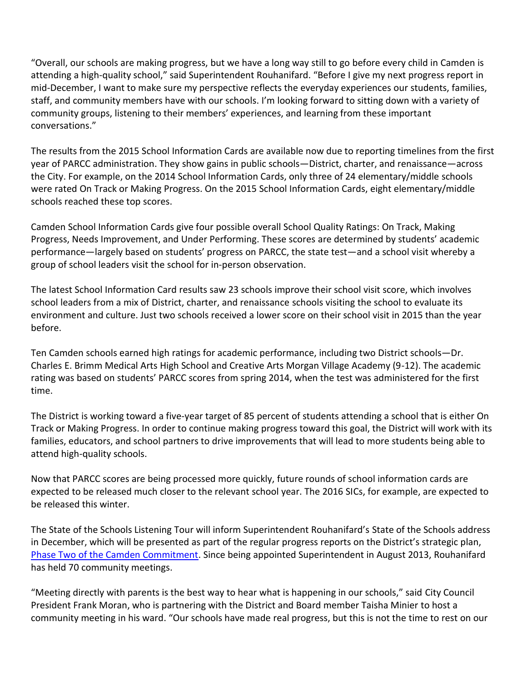"Overall, our schools are making progress, but we have a long way still to go before every child in Camden is attending a high-quality school," said Superintendent Rouhanifard. "Before I give my next progress report in mid-December, I want to make sure my perspective reflects the everyday experiences our students, families, staff, and community members have with our schools. I'm looking forward to sitting down with a variety of community groups, listening to their members' experiences, and learning from these important conversations."

The results from the 2015 School Information Cards are available now due to reporting timelines from the first year of PARCC administration. They show gains in public schools—District, charter, and renaissance—across the City. For example, on the 2014 School Information Cards, only three of 24 elementary/middle schools were rated On Track or Making Progress. On the 2015 School Information Cards, eight elementary/middle schools reached these top scores.

Camden School Information Cards give four possible overall School Quality Ratings: On Track, Making Progress, Needs Improvement, and Under Performing. These scores are determined by students' academic performance—largely based on students' progress on PARCC, the state test—and a school visit whereby a group of school leaders visit the school for in-person observation.

The latest School Information Card results saw 23 schools improve their school visit score, which involves school leaders from a mix of District, charter, and renaissance schools visiting the school to evaluate its environment and culture. Just two schools received a lower score on their school visit in 2015 than the year before.

Ten Camden schools earned high ratings for academic performance, including two District schools—Dr. Charles E. Brimm Medical Arts High School and Creative Arts Morgan Village Academy (9-12). The academic rating was based on students' PARCC scores from spring 2014, when the test was administered for the first time.

The District is working toward a five-year target of 85 percent of students attending a school that is either On Track or Making Progress. In order to continue making progress toward this goal, the District will work with its families, educators, and school partners to drive improvements that will lead to more students being able to attend high-quality schools.

Now that PARCC scores are being processed more quickly, future rounds of school information cards are expected to be released much closer to the relevant school year. The 2016 SICs, for example, are expected to be released this winter.

The State of the Schools Listening Tour will inform Superintendent Rouhanifard's State of the Schools address in December, which will be presented as part of the regular progress reports on the District's strategic plan, [Phase Two of the Camden Commitment.](http://www.camden.k12.nj.us/apps/pages/index.jsp?uREC_ID=229399&type=d&termREC_ID=&pREC_ID=538539) Since being appointed Superintendent in August 2013, Rouhanifard has held 70 community meetings.

"Meeting directly with parents is the best way to hear what is happening in our schools," said City Council President Frank Moran, who is partnering with the District and Board member Taisha Minier to host a community meeting in his ward. "Our schools have made real progress, but this is not the time to rest on our